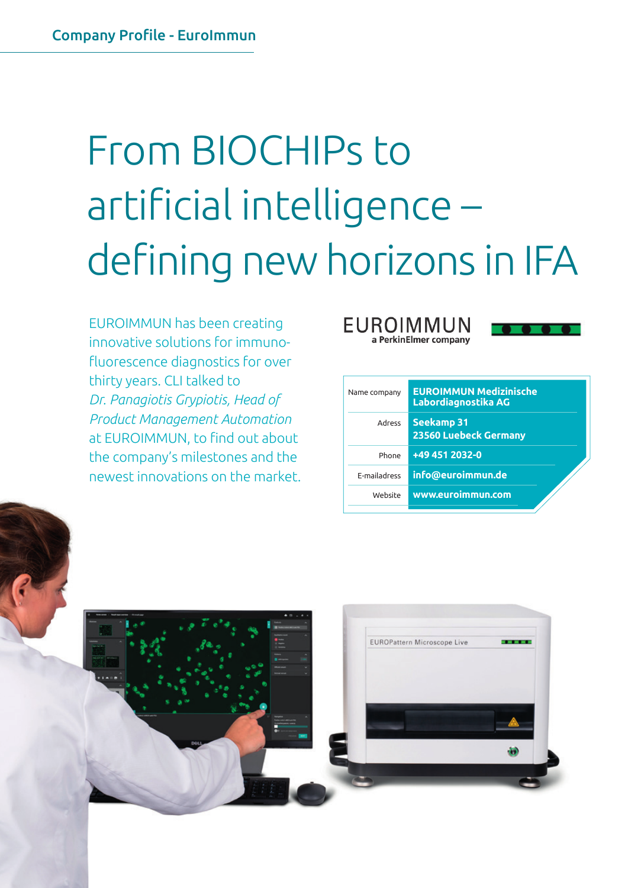# From BIOCHIPs to artificial intelligence – defining new horizons in IFA

EUROIMMUN has been creating innovative solutions for immunofluorescence diagnostics for over thirty years. CLI talked to *Dr. Panagiotis Grypiotis, Head of Product Management Automation* at EUROIMMUN, to find out about the company's milestones and the newest innovations on the market.





| Name company        | <b>EUROIMMUN Medizinische</b><br>Labordiagnostika AG |
|---------------------|------------------------------------------------------|
| <b>Adress</b>       | <b>Seekamp 31</b><br>23560 Luebeck Germany           |
| Phone               | +49 451 2032-0                                       |
| <b>F-mailadress</b> | info@euroimmun.de                                    |
| Website             | www.euroimmun.com                                    |
|                     |                                                      |

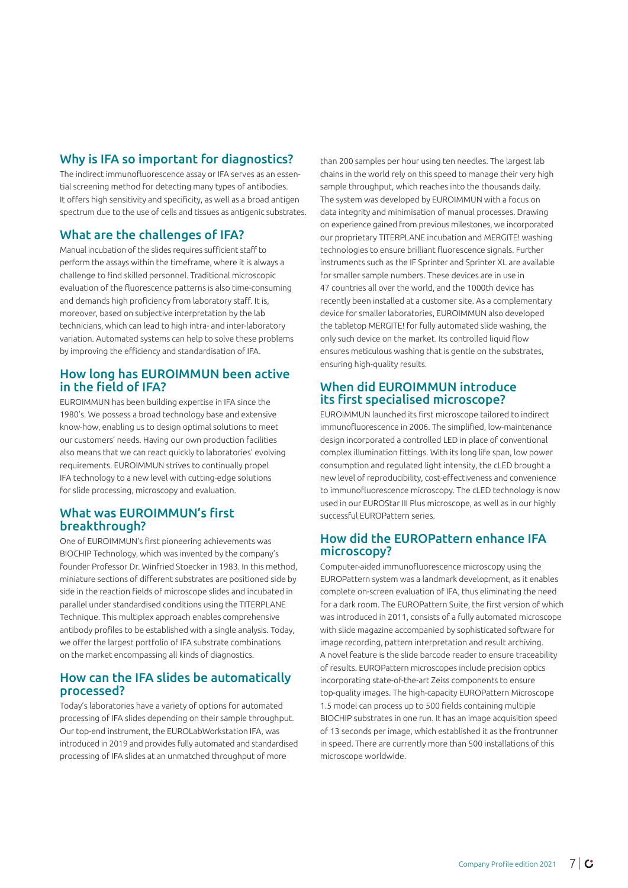## Why is IFA so important for diagnostics?

The indirect immunofluorescence assay or IFA serves as an essential screening method for detecting many types of antibodies. It offers high sensitivity and specificity, as well as a broad antigen spectrum due to the use of cells and tissues as antigenic substrates.

## What are the challenges of IFA?

Manual incubation of the slides requires sufficient staff to perform the assays within the timeframe, where it is always a challenge to find skilled personnel. Traditional microscopic evaluation of the fluorescence patterns is also time-consuming and demands high proficiency from laboratory staff. It is, moreover, based on subjective interpretation by the lab technicians, which can lead to high intra- and inter-laboratory variation. Automated systems can help to solve these problems by improving the efficiency and standardisation of IFA.

#### How long has EUROIMMUN been active in the field of IFA?

EUROIMMUN has been building expertise in IFA since the 1980's. We possess a broad technology base and extensive know-how, enabling us to design optimal solutions to meet our customers' needs. Having our own production facilities also means that we can react quickly to laboratories' evolving requirements. EUROIMMUN strives to continually propel IFA technology to a new level with cutting-edge solutions for slide processing, microscopy and evaluation.

#### What was EUROIMMUN's first breakthrough?

One of EUROIMMUN's first pioneering achievements was BIOCHIP Technology, which was invented by the company's founder Professor Dr. Winfried Stoecker in 1983. In this method, miniature sections of different substrates are positioned side by side in the reaction fields of microscope slides and incubated in parallel under standardised conditions using the TITERPLANE Technique. This multiplex approach enables comprehensive antibody profiles to be established with a single analysis. Today, we offer the largest portfolio of IFA substrate combinations on the market encompassing all kinds of diagnostics.

#### How can the IFA slides be automatically processed?

Today's laboratories have a variety of options for automated processing of IFA slides depending on their sample throughput. Our top-end instrument, the EUROLabWorkstation IFA, was introduced in 2019 and provides fully automated and standardised processing of IFA slides at an unmatched throughput of more

than 200 samples per hour using ten needles. The largest lab chains in the world rely on this speed to manage their very high sample throughput, which reaches into the thousands daily. The system was developed by EUROIMMUN with a focus on data integrity and minimisation of manual processes. Drawing on experience gained from previous milestones, we incorporated our proprietary TITERPLANE incubation and MERGITE! washing technologies to ensure brilliant fluorescence signals. Further instruments such as the IF Sprinter and Sprinter XL are available for smaller sample numbers. These devices are in use in 47 countries all over the world, and the 1000th device has recently been installed at a customer site. As a complementary device for smaller laboratories, EUROIMMUN also developed the tabletop MERGITE! for fully automated slide washing, the only such device on the market. Its controlled liquid flow ensures meticulous washing that is gentle on the substrates, ensuring high-quality results.

#### When did EUROIMMUN introduce its first specialised microscope?

EUROIMMUN launched its first microscope tailored to indirect immunofluorescence in 2006. The simplified, low-maintenance design incorporated a controlled LED in place of conventional complex illumination fittings. With its long life span, low power consumption and regulated light intensity, the cLED brought a new level of reproducibility, cost-effectiveness and convenience to immunofluorescence microscopy. The cLED technology is now used in our EUROStar III Plus microscope, as well as in our highly successful EUROPattern series.

### How did the EUROPattern enhance IFA microscopy?

Computer-aided immunofluorescence microscopy using the EUROPattern system was a landmark development, as it enables complete on-screen evaluation of IFA, thus eliminating the need for a dark room. The EUROPattern Suite, the first version of which was introduced in 2011, consists of a fully automated microscope with slide magazine accompanied by sophisticated software for image recording, pattern interpretation and result archiving. A novel feature is the slide barcode reader to ensure traceability of results. EUROPattern microscopes include precision optics incorporating state-of-the-art Zeiss components to ensure top-quality images. The high-capacity EUROPattern Microscope 1.5 model can process up to 500 fields containing multiple BIOCHIP substrates in one run. It has an image acquisition speed of 13 seconds per image, which established it as the frontrunner in speed. There are currently more than 500 installations of this microscope worldwide.